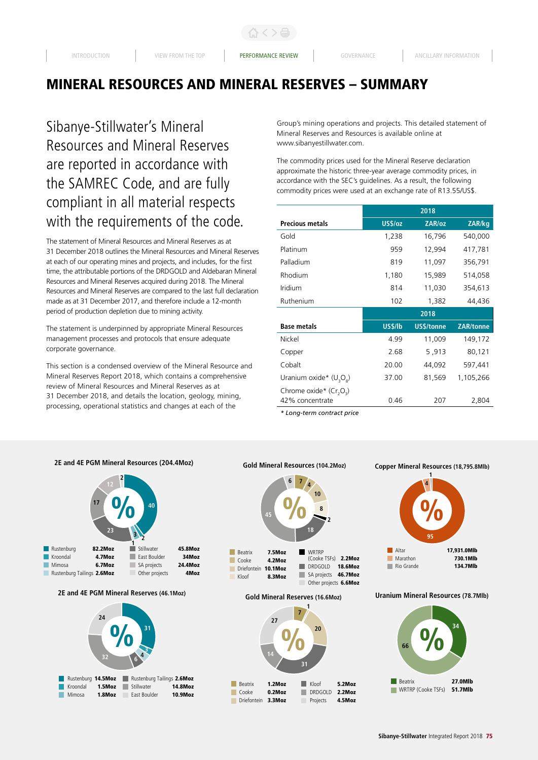Sibanye-Stillwater's Mineral Resources and Mineral Reserves are reported in accordance with the SAMREC Code, and are fully compliant in all material respects with the requirements of the code.

The statement of Mineral Resources and Mineral Reserves as at 31 December 2018 outlines the Mineral Resources and Mineral Reserves at each of our operating mines and projects, and includes, for the first time, the attributable portions of the DRDGOLD and Aldebaran Mineral Resources and Mineral Reserves acquired during 2018. The Mineral Resources and Mineral Reserves are compared to the last full declaration made as at 31 December 2017, and therefore include a 12-month period of production depletion due to mining activity.

The statement is underpinned by appropriate Mineral Resources management processes and protocols that ensure adequate corporate governance.

This section is a condensed overview of the Mineral Resource and Mineral Reserves Report 2018, which contains a comprehensive review of Mineral Resources and Mineral Reserves as at 31 December 2018, and details the location, geology, mining, processing, operational statistics and changes at each of the

Group's mining operations and projects. This detailed statement of Mineral Reserves and Resources is available online at www.sibanyestillwater.com.

The commodity prices used for the Mineral Reserve declaration approximate the historic three-year average commodity prices, in accordance with the SEC's guidelines. As a result, the following commodity prices were used at an exchange rate of R13.55/US\$.

|                                                 |         | 2018       |                  |
|-------------------------------------------------|---------|------------|------------------|
| <b>Precious metals</b>                          | US\$/oz | ZAR/oz     | ZAR/kg           |
| Gold                                            | 1,238   | 16,796     | 540,000          |
| Platinum                                        | 959     | 12,994     | 417,781          |
| Palladium                                       | 819     | 11,097     | 356,791          |
| Rhodium                                         | 1,180   | 15,989     | 514,058          |
| Iridium                                         | 814     | 11,030     | 354,613          |
| Ruthenium                                       | 102     | 1,382      | 44,436           |
|                                                 |         |            |                  |
|                                                 |         | 2018       |                  |
| <b>Base metals</b>                              | US\$/lb | US\$/tonne | <b>ZAR/tonne</b> |
| Nickel                                          | 4.99    | 11,009     | 149,172          |
| Copper                                          | 2.68    | 5,913      | 80,121           |
| Cobalt                                          | 20.00   | 44,092     | 597,441          |
| Uranium oxide* $(U_3O_8)$                       | 37.00   | 81,569     | 1,105,266        |
| Chrome oxide* (Cr <sub>2</sub> O <sub>2</sub> ) |         |            |                  |

*\* Long-term contract price*





# **Gold Mineral Resources (104.2Moz)**



**Gold Mineral Reserves (16.6Moz)**







#### **Uranium Mineral Resources (78.7Mlb)**

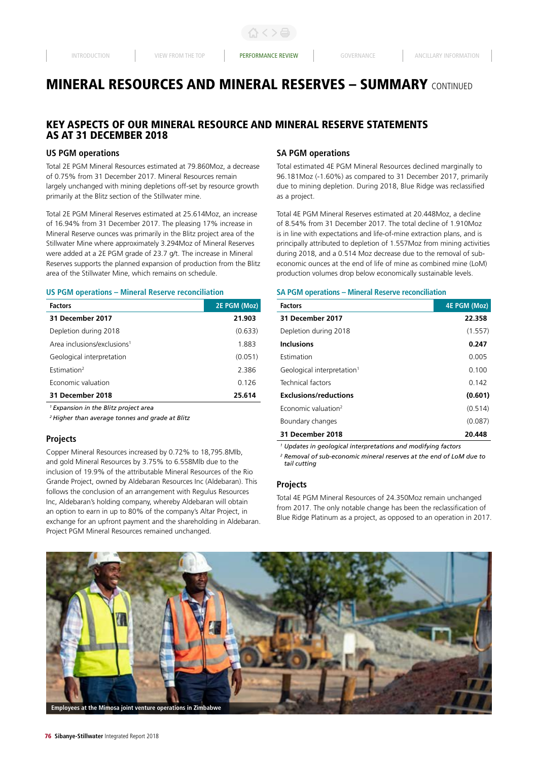## KEY ASPECTS OF OUR MINERAL RESOURCE AND MINERAL RESERVE STATEMENTS AS AT 31 DECEMBER 2018

## **US PGM operations**

Total 2E PGM Mineral Resources estimated at 79.860Moz, a decrease of 0.75% from 31 December 2017. Mineral Resources remain largely unchanged with mining depletions off-set by resource growth primarily at the Blitz section of the Stillwater mine.

Total 2E PGM Mineral Reserves estimated at 25.614Moz, an increase of 16.94% from 31 December 2017. The pleasing 17% increase in Mineral Reserve ounces was primarily in the Blitz project area of the Stillwater Mine where approximately 3.294Moz of Mineral Reserves were added at a 2E PGM grade of 23.7 g/t. The increase in Mineral Reserves supports the planned expansion of production from the Blitz area of the Stillwater Mine, which remains on schedule.

#### **US PGM operations – Mineral Reserve reconciliation**

| <b>Factors</b>                          | 2E PGM (Moz) |
|-----------------------------------------|--------------|
| 31 December 2017                        | 21.903       |
| Depletion during 2018                   | (0.633)      |
| Area inclusions/exclusions <sup>1</sup> | 1.883        |
| Geological interpretation               | (0.051)      |
| Fstimation <sup>2</sup>                 | 2.386        |
| Economic valuation                      | 0.126        |
| 31 December 2018                        | 25.614       |

*1 Expansion in the Blitz project area*

*2 Higher than average tonnes and grade at Blitz*

#### **Projects**

Copper Mineral Resources increased by 0.72% to 18,795.8Mlb, and gold Mineral Resources by 3.75% to 6.558Mlb due to the inclusion of 19.9% of the attributable Mineral Resources of the Rio Grande Project, owned by Aldebaran Resources Inc (Aldebaran). This follows the conclusion of an arrangement with Regulus Resources Inc, Aldebaran's holding company, whereby Aldebaran will obtain an option to earn in up to 80% of the company's Altar Project, in exchange for an upfront payment and the shareholding in Aldebaran. Project PGM Mineral Resources remained unchanged.

## **SA PGM operations**

Total estimated 4E PGM Mineral Resources declined marginally to 96.181Moz (-1.60%) as compared to 31 December 2017, primarily due to mining depletion. During 2018, Blue Ridge was reclassified as a project.

Total 4E PGM Mineral Reserves estimated at 20.448Moz, a decline of 8.54% from 31 December 2017. The total decline of 1.910Moz is in line with expectations and life-of-mine extraction plans, and is principally attributed to depletion of 1.557Moz from mining activities during 2018, and a 0.514 Moz decrease due to the removal of subeconomic ounces at the end of life of mine as combined mine (LoM) production volumes drop below economically sustainable levels.

#### **SA PGM operations – Mineral Reserve reconciliation**

| <b>Factors</b>                         | <b>4E PGM (Moz)</b> |
|----------------------------------------|---------------------|
| 31 December 2017                       | 22.358              |
| Depletion during 2018                  | (1.557)             |
| <b>Inclusions</b>                      | 0.247               |
| Estimation                             | 0.005               |
| Geological interpretation <sup>1</sup> | 0.100               |
| Technical factors                      | 0.142               |
| <b>Exclusions/reductions</b>           | (0.601)             |
| Economic valuation <sup>2</sup>        | (0.514)             |
| Boundary changes                       | (0.087)             |
| 31 December 2018                       | 20.448              |

*1 Updates in geological interpretations and modifying factors*

*<sup>2</sup> Removal of sub-economic mineral reserves at the end of LoM due to tail cutting*

## **Projects**

Total 4E PGM Mineral Resources of 24.350Moz remain unchanged from 2017. The only notable change has been the reclassification of Blue Ridge Platinum as a project, as opposed to an operation in 2017.

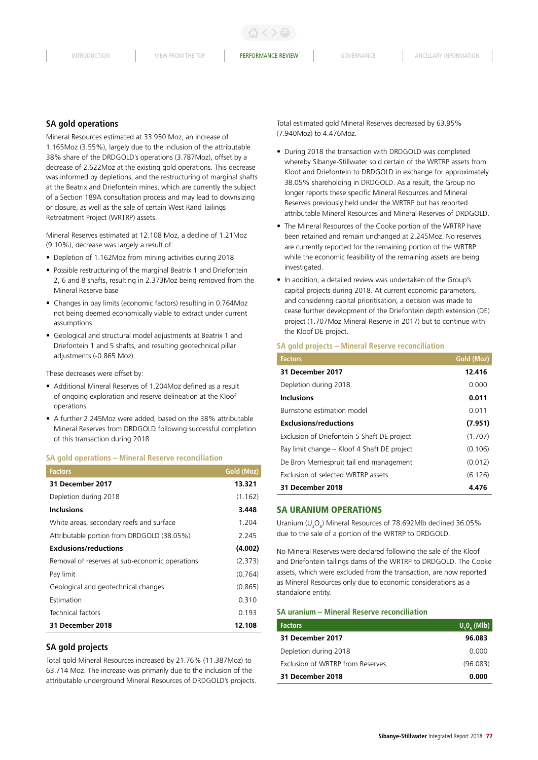## **SA gold operations**

Mineral Resources estimated at 33.950 Moz, an increase of 1.165Moz (3.55%), largely due to the inclusion of the attributable 38% share of the DRDGOLD's operations (3.787Moz), offset by a decrease of 2.622Moz at the existing gold operations. This decrease was informed by depletions, and the restructuring of marginal shafts at the Beatrix and Driefontein mines, which are currently the subject of a Section 189A consultation process and may lead to downsizing or closure, as well as the sale of certain West Rand Tailings Retreatment Project (WRTRP) assets.

Mineral Reserves estimated at 12.108 Moz, a decline of 1.21Moz (9.10%), decrease was largely a result of:

- Depletion of 1.162Moz from mining activities during 2018
- Possible restructuring of the marginal Beatrix 1 and Driefontein 2, 6 and 8 shafts, resulting in 2.373Moz being removed from the Mineral Reserve base
- Changes in pay limits (economic factors) resulting in 0.764Moz not being deemed economically viable to extract under current assumptions
- Geological and structural model adjustments at Beatrix 1 and Driefontein 1 and 5 shafts, and resulting geotechnical pillar adjustments (-0.865 Moz)

These decreases were offset by:

- Additional Mineral Reserves of 1.204Moz defined as a result of ongoing exploration and reserve delineation at the Kloof operations
- A further 2.245Moz were added, based on the 38% attributable Mineral Reserves from DRDGOLD following successful completion of this transaction during 2018

#### **SA gold operations – Mineral Reserve reconciliation**

| <b>Factors</b>                                 | Gold (Moz) |
|------------------------------------------------|------------|
| 31 December 2017                               | 13.321     |
| Depletion during 2018                          | (1.162)    |
| <b>Inclusions</b>                              | 3.448      |
| White areas, secondary reefs and surface       | 1.204      |
| Attributable portion from DRDGOLD (38.05%)     | 2.245      |
| <b>Exclusions/reductions</b>                   | (4.002)    |
| Removal of reserves at sub-economic operations | (2,373)    |
| Pay limit                                      | (0.764)    |
| Geological and geotechnical changes            | (0.865)    |
| Estimation                                     | 0.310      |
| Technical factors                              | 0.193      |
| 31 December 2018                               | 12.108     |

#### **SA gold projects**

Total gold Mineral Resources increased by 21.76% (11.387Moz) to 63.714 Moz. The increase was primarily due to the inclusion of the attributable underground Mineral Resources of DRDGOLD's projects. Total estimated gold Mineral Reserves decreased by 63.95% (7.940Moz) to 4.476Moz.

- During 2018 the transaction with DRDGOLD was completed whereby Sibanye-Stillwater sold certain of the WRTRP assets from Kloof and Driefontein to DRDGOLD in exchange for approximately 38.05% shareholding in DRDGOLD. As a result, the Group no longer reports these specific Mineral Resources and Mineral Reserves previously held under the WRTRP but has reported attributable Mineral Resources and Mineral Reserves of DRDGOLD.
- The Mineral Resources of the Cooke portion of the WRTRP have been retained and remain unchanged at 2.245Moz. No reserves are currently reported for the remaining portion of the WRTRP while the economic feasibility of the remaining assets are being investigated.
- In addition, a detailed review was undertaken of the Group's capital projects during 2018. At current economic parameters, and considering capital prioritisation, a decision was made to cease further development of the Driefontein depth extension (DE) project (1.707Moz Mineral Reserve in 2017) but to continue with the Kloof DE project.

#### **SA gold projects – Mineral Reserve reconciliation**

| <b>Factors</b>                              | Gold (Moz) |
|---------------------------------------------|------------|
| 31 December 2017                            | 12.416     |
| Depletion during 2018                       | 0.000      |
| <b>Inclusions</b>                           | 0.011      |
| Burnstone estimation model                  | 0.011      |
| <b>Exclusions/reductions</b>                | (7.951)    |
| Exclusion of Driefontein 5 Shaft DE project | (1.707)    |
| Pay limit change – Kloof 4 Shaft DE project | (0.106)    |
| De Bron Merriespruit tail end management    | (0.012)    |
| Exclusion of selected WRTRP assets          | (6.126)    |
| 31 December 2018                            | 4.476      |

#### SA URANIUM OPERATIONS

Uranium ( $U_3O_8$ ) Mineral Resources of 78.692Mlb declined 36.05% due to the sale of a portion of the WRTRP to DRDGOLD.

No Mineral Reserves were declared following the sale of the Kloof and Driefontein tailings dams of the WRTRP to DRDGOLD. The Cooke assets, which were excluded from the transaction, are now reported as Mineral Resources only due to economic considerations as a standalone entity.

#### **SA uranium – Mineral Reserve reconciliation**

| <b>Factors</b>                   | U, 0, (Mlb) |
|----------------------------------|-------------|
| 31 December 2017                 | 96.083      |
| Depletion during 2018            | 0.000       |
| Exclusion of WRTRP from Reserves | (96.083)    |
| 31 December 2018                 | 0.000       |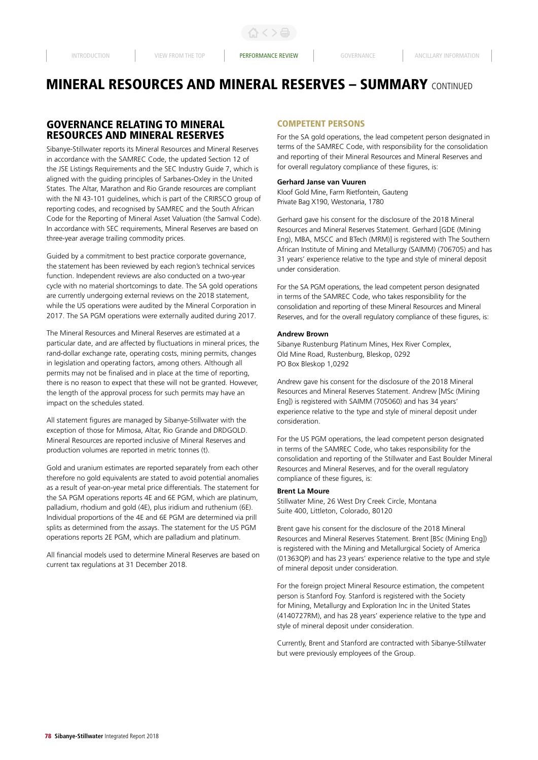## GOVERNANCE RELATING TO MINERAL RESOURCES AND MINERAL RESERVES

Sibanye-Stillwater reports its Mineral Resources and Mineral Reserves in accordance with the SAMREC Code, the updated Section 12 of the JSE Listings Requirements and the SEC Industry Guide 7, which is aligned with the guiding principles of Sarbanes-Oxley in the United States. The Altar, Marathon and Rio Grande resources are compliant with the NI 43-101 guidelines, which is part of the CRIRSCO group of reporting codes, and recognised by SAMREC and the South African Code for the Reporting of Mineral Asset Valuation (the Samval Code). In accordance with SEC requirements, Mineral Reserves are based on three-year average trailing commodity prices.

Guided by a commitment to best practice corporate governance, the statement has been reviewed by each region's technical services function. Independent reviews are also conducted on a two-year cycle with no material shortcomings to date. The SA gold operations are currently undergoing external reviews on the 2018 statement, while the US operations were audited by the Mineral Corporation in 2017. The SA PGM operations were externally audited during 2017.

The Mineral Resources and Mineral Reserves are estimated at a particular date, and are affected by fluctuations in mineral prices, the rand-dollar exchange rate, operating costs, mining permits, changes in legislation and operating factors, among others. Although all permits may not be finalised and in place at the time of reporting, there is no reason to expect that these will not be granted. However, the length of the approval process for such permits may have an impact on the schedules stated.

All statement figures are managed by Sibanye-Stillwater with the exception of those for Mimosa, Altar, Rio Grande and DRDGOLD. Mineral Resources are reported inclusive of Mineral Reserves and production volumes are reported in metric tonnes (t).

Gold and uranium estimates are reported separately from each other therefore no gold equivalents are stated to avoid potential anomalies as a result of year-on-year metal price differentials. The statement for the SA PGM operations reports 4E and 6E PGM, which are platinum, palladium, rhodium and gold (4E), plus iridium and ruthenium (6E). Individual proportions of the 4E and 6E PGM are determined via prill splits as determined from the assays. The statement for the US PGM operations reports 2E PGM, which are palladium and platinum.

All financial models used to determine Mineral Reserves are based on current tax regulations at 31 December 2018.

#### COMPETENT PERSONS

For the SA gold operations, the lead competent person designated in terms of the SAMREC Code, with responsibility for the consolidation and reporting of their Mineral Resources and Mineral Reserves and for overall regulatory compliance of these figures, is:

#### **Gerhard Janse van Vuuren**

Kloof Gold Mine, Farm Rietfontein, Gauteng Private Bag X190, Westonaria, 1780

Gerhard gave his consent for the disclosure of the 2018 Mineral Resources and Mineral Reserves Statement. Gerhard [GDE (Mining Eng), MBA, MSCC and BTech (MRM)] is registered with The Southern African Institute of Mining and Metallurgy (SAIMM) (706705) and has 31 years' experience relative to the type and style of mineral deposit under consideration.

For the SA PGM operations, the lead competent person designated in terms of the SAMREC Code, who takes responsibility for the consolidation and reporting of these Mineral Resources and Mineral Reserves, and for the overall regulatory compliance of these figures, is:

#### **Andrew Brown**

Sibanye Rustenburg Platinum Mines, Hex River Complex, Old Mine Road, Rustenburg, Bleskop, 0292 PO Box Bleskop 1,0292

Andrew gave his consent for the disclosure of the 2018 Mineral Resources and Mineral Reserves Statement. Andrew [MSc (Mining Eng]) is registered with SAIMM (705060) and has 34 years' experience relative to the type and style of mineral deposit under consideration.

For the US PGM operations, the lead competent person designated in terms of the SAMREC Code, who takes responsibility for the consolidation and reporting of the Stillwater and East Boulder Mineral Resources and Mineral Reserves, and for the overall regulatory compliance of these figures, is:

#### **Brent La Moure**

Stillwater Mine, 26 West Dry Creek Circle, Montana Suite 400, Littleton, Colorado, 80120

Brent gave his consent for the disclosure of the 2018 Mineral Resources and Mineral Reserves Statement. Brent [BSc (Mining Eng]) is registered with the Mining and Metallurgical Society of America (01363QP) and has 23 years' experience relative to the type and style of mineral deposit under consideration.

For the foreign project Mineral Resource estimation, the competent person is Stanford Foy. Stanford is registered with the Society for Mining, Metallurgy and Exploration Inc in the United States (4140727RM), and has 28 years' experience relative to the type and style of mineral deposit under consideration.

Currently, Brent and Stanford are contracted with Sibanye-Stillwater but were previously employees of the Group.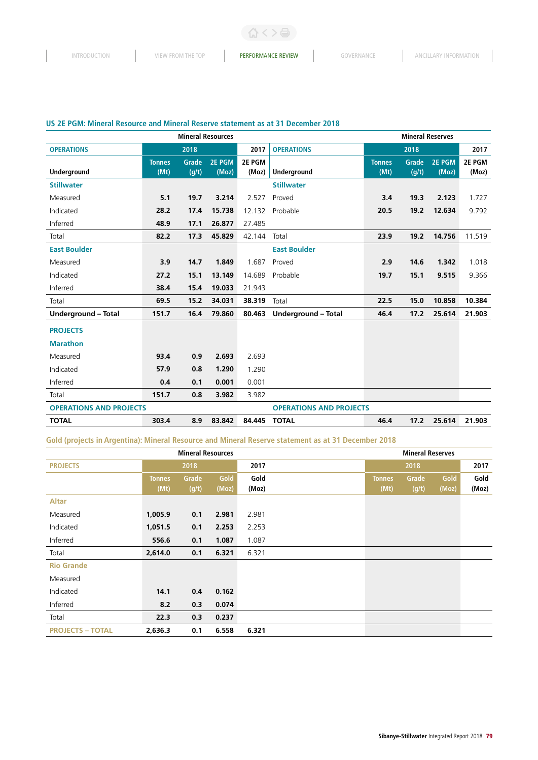くゝ合

## **US 2E PGM: Mineral Resource and Mineral Reserve statement as at 31 December 2018**

| <b>Mineral Resources</b>       |                       |                |                        | <b>Mineral Reserves</b> |                                |                       |                |                 |                 |
|--------------------------------|-----------------------|----------------|------------------------|-------------------------|--------------------------------|-----------------------|----------------|-----------------|-----------------|
| <b>OPERATIONS</b>              |                       | 2018           |                        | 2017                    | <b>OPERATIONS</b>              |                       | 2018           |                 | 2017            |
| Underground                    | <b>Tonnes</b><br>(Mt) | Grade<br>(g/t) | <b>2E PGM</b><br>(Moz) | 2E PGM<br>(Moz)         | <b>Underground</b>             | <b>Tonnes</b><br>(Mt) | Grade<br>(g/t) | 2E PGM<br>(Moz) | 2E PGM<br>(Moz) |
| <b>Stillwater</b>              |                       |                |                        |                         | <b>Stillwater</b>              |                       |                |                 |                 |
| Measured                       | 5.1                   | 19.7           | 3.214                  | 2.527                   | Proved                         | 3.4                   | 19.3           | 2.123           | 1.727           |
| Indicated                      | 28.2                  | 17.4           | 15.738                 | 12.132                  | Probable                       | 20.5                  | 19.2           | 12.634          | 9.792           |
| Inferred                       | 48.9                  | 17.1           | 26.877                 | 27.485                  |                                |                       |                |                 |                 |
| Total                          | 82.2                  | 17.3           | 45.829                 | 42.144                  | Total                          | 23.9                  | 19.2           | 14.756          | 11.519          |
| <b>East Boulder</b>            |                       |                |                        |                         | <b>East Boulder</b>            |                       |                |                 |                 |
| Measured                       | 3.9                   | 14.7           | 1.849                  | 1.687                   | Proved                         | 2.9                   | 14.6           | 1.342           | 1.018           |
| Indicated                      | 27.2                  | 15.1           | 13.149                 | 14.689                  | Probable                       | 19.7                  | 15.1           | 9.515           | 9.366           |
| Inferred                       | 38.4                  | 15.4           | 19.033                 | 21.943                  |                                |                       |                |                 |                 |
| Total                          | 69.5                  | 15.2           | 34.031                 | 38.319                  | Total                          | 22.5                  | 15.0           | 10.858          | 10.384          |
| Underground - Total            | 151.7                 | 16.4           | 79.860                 | 80.463                  | Underground - Total            | 46.4                  | 17.2           | 25.614          | 21.903          |
| <b>PROJECTS</b>                |                       |                |                        |                         |                                |                       |                |                 |                 |
| <b>Marathon</b>                |                       |                |                        |                         |                                |                       |                |                 |                 |
| Measured                       | 93.4                  | 0.9            | 2.693                  | 2.693                   |                                |                       |                |                 |                 |
| Indicated                      | 57.9                  | 0.8            | 1.290                  | 1.290                   |                                |                       |                |                 |                 |
| Inferred                       | 0.4                   | 0.1            | 0.001                  | 0.001                   |                                |                       |                |                 |                 |
| Total                          | 151.7                 | 0.8            | 3.982                  | 3.982                   |                                |                       |                |                 |                 |
| <b>OPERATIONS AND PROJECTS</b> |                       |                |                        |                         | <b>OPERATIONS AND PROJECTS</b> |                       |                |                 |                 |
| <b>TOTAL</b>                   | 303.4                 | 8.9            | 83.842                 | 84.445                  | <b>TOTAL</b>                   | 46.4                  | 17.2           | 25.614          | 21.903          |

## **Gold (projects in Argentina): Mineral Resource and Mineral Reserve statement as at 31 December 2018**

| <b>Mineral Resources</b> |               |       |       | <b>Mineral Reserves</b> |               |       |       |       |
|--------------------------|---------------|-------|-------|-------------------------|---------------|-------|-------|-------|
| <b>PROJECTS</b>          |               | 2018  |       | 2017                    |               | 2018  |       | 2017  |
|                          | <b>Tonnes</b> | Grade | Gold  | Gold                    | <b>Tonnes</b> | Grade | Gold  | Gold  |
|                          | (Mt)          | (g/t) | (Moz) | (Moz)                   | (Mt)          | (g/t) | (Moz) | (Moz) |
| <b>Altar</b>             |               |       |       |                         |               |       |       |       |
| Measured                 | 1,005.9       | 0.1   | 2.981 | 2.981                   |               |       |       |       |
| Indicated                | 1,051.5       | 0.1   | 2.253 | 2.253                   |               |       |       |       |
| Inferred                 | 556.6         | 0.1   | 1.087 | 1.087                   |               |       |       |       |
| Total                    | 2,614.0       | 0.1   | 6.321 | 6.321                   |               |       |       |       |
| <b>Rio Grande</b>        |               |       |       |                         |               |       |       |       |
| Measured                 |               |       |       |                         |               |       |       |       |
| Indicated                | 14.1          | 0.4   | 0.162 |                         |               |       |       |       |
| Inferred                 | 8.2           | 0.3   | 0.074 |                         |               |       |       |       |
| Total                    | 22.3          | 0.3   | 0.237 |                         |               |       |       |       |
| <b>PROJECTS - TOTAL</b>  | 2,636.3       | 0.1   | 6.558 | 6.321                   |               |       |       |       |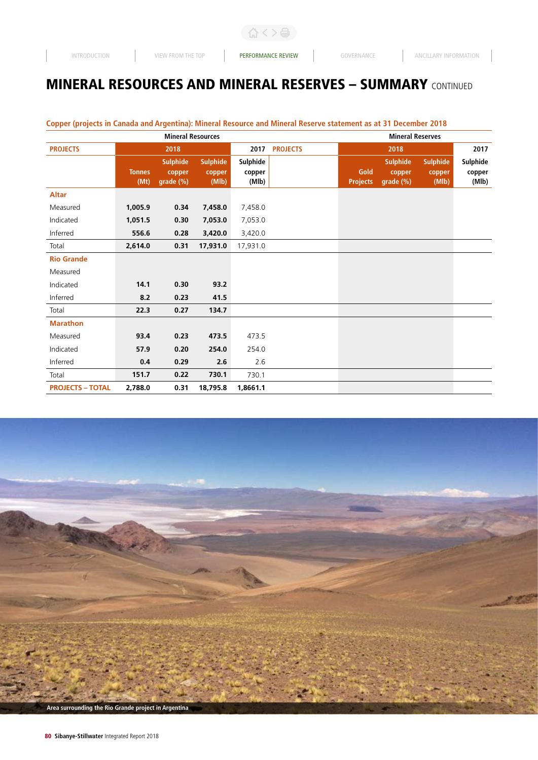$\begin{array}{c} \hline \end{array}$ 

〈〉骨:

# MINERAL RESOURCES AND MINERAL RESERVES – SUMMARY CONTINUED

| <b>Mineral Resources</b> |                       |                                        |                                    |                             |                 | <b>Mineral Reserves</b> |                                        |                                    |                             |  |
|--------------------------|-----------------------|----------------------------------------|------------------------------------|-----------------------------|-----------------|-------------------------|----------------------------------------|------------------------------------|-----------------------------|--|
| <b>PROJECTS</b>          |                       | 2018                                   |                                    | 2017                        | <b>PROJECTS</b> |                         | 2018                                   |                                    | 2017                        |  |
|                          | <b>Tonnes</b><br>(Mt) | <b>Sulphide</b><br>copper<br>grade (%) | <b>Sulphide</b><br>copper<br>(MIb) | Sulphide<br>copper<br>(Mlb) |                 | Gold<br><b>Projects</b> | <b>Sulphide</b><br>copper<br>grade (%) | <b>Sulphide</b><br>copper<br>(MIb) | Sulphide<br>copper<br>(Mlb) |  |
| <b>Altar</b>             |                       |                                        |                                    |                             |                 |                         |                                        |                                    |                             |  |
| Measured                 | 1,005.9               | 0.34                                   | 7,458.0                            | 7,458.0                     |                 |                         |                                        |                                    |                             |  |
| Indicated                | 1,051.5               | 0.30                                   | 7,053.0                            | 7,053.0                     |                 |                         |                                        |                                    |                             |  |
| Inferred                 | 556.6                 | 0.28                                   | 3,420.0                            | 3,420.0                     |                 |                         |                                        |                                    |                             |  |
| Total                    | 2,614.0               | 0.31                                   | 17,931.0                           | 17,931.0                    |                 |                         |                                        |                                    |                             |  |
| <b>Rio Grande</b>        |                       |                                        |                                    |                             |                 |                         |                                        |                                    |                             |  |
| Measured                 |                       |                                        |                                    |                             |                 |                         |                                        |                                    |                             |  |
| Indicated                | 14.1                  | 0.30                                   | 93.2                               |                             |                 |                         |                                        |                                    |                             |  |
| Inferred                 | 8.2                   | 0.23                                   | 41.5                               |                             |                 |                         |                                        |                                    |                             |  |
| Total                    | 22.3                  | 0.27                                   | 134.7                              |                             |                 |                         |                                        |                                    |                             |  |
| <b>Marathon</b>          |                       |                                        |                                    |                             |                 |                         |                                        |                                    |                             |  |
| Measured                 | 93.4                  | 0.23                                   | 473.5                              | 473.5                       |                 |                         |                                        |                                    |                             |  |
| Indicated                | 57.9                  | 0.20                                   | 254.0                              | 254.0                       |                 |                         |                                        |                                    |                             |  |
| Inferred                 | 0.4                   | 0.29                                   | 2.6                                | 2.6                         |                 |                         |                                        |                                    |                             |  |
| Total                    | 151.7                 | 0.22                                   | 730.1                              | 730.1                       |                 |                         |                                        |                                    |                             |  |
| <b>PROJECTS - TOTAL</b>  | 2,788.0               | 0.31                                   | 18,795.8                           | 1,8661.1                    |                 |                         |                                        |                                    |                             |  |

## **Copper (projects in Canada and Argentina): Mineral Resource and Mineral Reserve statement as at 31 December 2018**

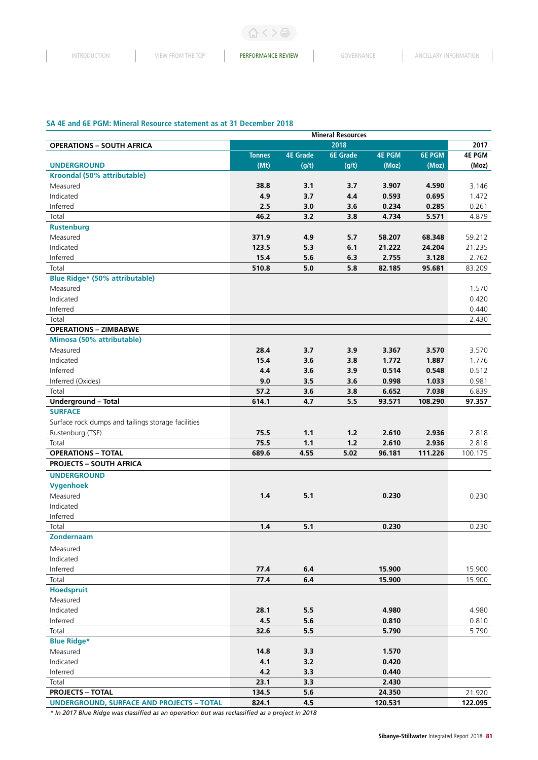$\geq$   $\boxdot$ 

## **SA 4E and 6E PGM: Mineral Resource statement as at 31 December 2018**

|                                                    | <b>Mineral Resources</b> |                 |                 |               |               |               |  |  |  |
|----------------------------------------------------|--------------------------|-----------------|-----------------|---------------|---------------|---------------|--|--|--|
| <b>OPERATIONS - SOUTH AFRICA</b>                   |                          |                 | 2018            |               |               | 2017          |  |  |  |
|                                                    | <b>Tonnes</b>            | <b>4E Grade</b> | <b>6E</b> Grade | <b>4E PGM</b> | <b>6E PGM</b> | <b>4E PGM</b> |  |  |  |
| <b>UNDERGROUND</b>                                 | (Mt)                     | (g/t)           | (g/t)           | (Moz)         | (Moz)         | (Moz)         |  |  |  |
| Kroondal (50% attributable)                        |                          |                 |                 |               |               |               |  |  |  |
| Measured                                           | 38.8                     | 3.1             | 3.7             | 3.907         | 4.590         | 3.146         |  |  |  |
| Indicated                                          | 4.9                      | 3.7             | 4.4             | 0.593         | 0.695         | 1.472         |  |  |  |
| Inferred                                           | 2.5                      | 3.0             | 3.6             | 0.234         | 0.285         | 0.261         |  |  |  |
| Total                                              | 46.2                     | 3.2             | 3.8             | 4.734         | 5.571         | 4.879         |  |  |  |
| <b>Rustenburg</b>                                  |                          |                 |                 |               |               |               |  |  |  |
| Measured                                           | 371.9                    | 4.9             | 5.7             | 58.207        | 68.348        | 59.212        |  |  |  |
| Indicated                                          | 123.5                    | 5.3             | 6.1             | 21.222        | 24.204        | 21.235        |  |  |  |
| Inferred                                           | 15.4                     | 5.6             | 6.3             | 2.755         | 3.128         | 2.762         |  |  |  |
| Total                                              | 510.8                    | 5.0             | 5.8             | 82.185        | 95.681        | 83.209        |  |  |  |
| <b>Blue Ridge* (50% attributable)</b>              |                          |                 |                 |               |               |               |  |  |  |
| Measured                                           |                          |                 |                 |               |               | 1.570         |  |  |  |
| Indicated                                          |                          |                 |                 |               |               | 0.420         |  |  |  |
| Inferred                                           |                          |                 |                 |               |               | 0.440         |  |  |  |
| Total                                              |                          |                 |                 |               |               | 2.430         |  |  |  |
| <b>OPERATIONS - ZIMBABWE</b>                       |                          |                 |                 |               |               |               |  |  |  |
| Mimosa (50% attributable)                          |                          |                 |                 |               |               |               |  |  |  |
| Measured                                           | 28.4                     | 3.7             | 3.9             | 3.367         | 3.570         | 3.570         |  |  |  |
| Indicated                                          | 15.4                     | 3.6             | 3.8             | 1.772         | 1.887         | 1.776         |  |  |  |
| Inferred                                           | 4.4                      | 3.6             | 3.9             | 0.514         | 0.548         | 0.512         |  |  |  |
| Inferred (Oxides)                                  | 9.0                      | 3.5             | 3.6             | 0.998         | 1.033         | 0.981         |  |  |  |
| Total                                              | 57.2                     | 3.6             | 3.8             | 6.652         | 7.038         | 6.839         |  |  |  |
| Underground - Total                                | 614.1                    | 4.7             | 5.5             | 93.571        | 108.290       | 97.357        |  |  |  |
| <b>SURFACE</b>                                     |                          |                 |                 |               |               |               |  |  |  |
| Surface rock dumps and tailings storage facilities |                          |                 |                 |               |               |               |  |  |  |
| Rustenburg (TSF)                                   | 75.5                     | 1.1             | $1.2$           | 2.610         | 2.936         | 2.818         |  |  |  |
| Total                                              | 75.5                     | 1.1             | $1.2$           | 2.610         | 2.936         | 2.818         |  |  |  |
| <b>OPERATIONS - TOTAL</b>                          | 689.6                    | 4.55            | 5.02            | 96.181        | 111.226       | 100.175       |  |  |  |
| <b>PROJECTS - SOUTH AFRICA</b>                     |                          |                 |                 |               |               |               |  |  |  |
| <b>UNDERGROUND</b>                                 |                          |                 |                 |               |               |               |  |  |  |
| <b>Vygenhoek</b>                                   |                          |                 |                 |               |               |               |  |  |  |
| Measured                                           | 1.4                      | 5.1             |                 | 0.230         |               | 0.230         |  |  |  |
| Indicated                                          |                          |                 |                 |               |               |               |  |  |  |
| Inferred                                           |                          |                 |                 |               |               |               |  |  |  |
| Total                                              | 1.4                      | 5.1             |                 | 0.230         |               | 0.230         |  |  |  |
| <b>Zondernaam</b>                                  |                          |                 |                 |               |               |               |  |  |  |
|                                                    |                          |                 |                 |               |               |               |  |  |  |
| Measured<br>Indicated                              |                          |                 |                 |               |               |               |  |  |  |
|                                                    |                          | 6.4             |                 | 15.900        |               |               |  |  |  |
| Inferred                                           | 77.4                     |                 |                 |               |               | 15.900        |  |  |  |
| Total                                              | 77.4                     | 6.4             |                 | 15.900        |               | 15.900        |  |  |  |
| <b>Hoedspruit</b><br>Measured                      |                          |                 |                 |               |               |               |  |  |  |
|                                                    |                          |                 |                 |               |               |               |  |  |  |
| Indicated                                          | 28.1                     | 5.5             |                 | 4.980         |               | 4.980         |  |  |  |
| Inferred                                           | 4.5                      | 5.6             |                 | 0.810         |               | 0.810         |  |  |  |
| Total                                              | 32.6                     | 5.5             |                 | 5.790         |               | 5.790         |  |  |  |
| <b>Blue Ridge*</b>                                 |                          |                 |                 |               |               |               |  |  |  |
| Measured                                           | 14.8                     | 3.3             |                 | 1.570         |               |               |  |  |  |
| Indicated                                          | 4.1                      | 3.2             |                 | 0.420         |               |               |  |  |  |
| Inferred                                           | 4.2                      | 3.3             |                 | 0.440         |               |               |  |  |  |
| Total                                              | 23.1                     | 3.3             |                 | 2.430         |               |               |  |  |  |
| <b>PROJECTS - TOTAL</b>                            | 134.5                    | 5.6             |                 | 24.350        |               | 21.920        |  |  |  |
| <b>UNDERGROUND, SURFACE AND PROJECTS - TOTAL</b>   | 824.1                    | 4.5             |                 | 120.531       |               | 122.095       |  |  |  |

*\* In 2017 Blue Ridge was classified as an operation but was reclassified as a project in 2018*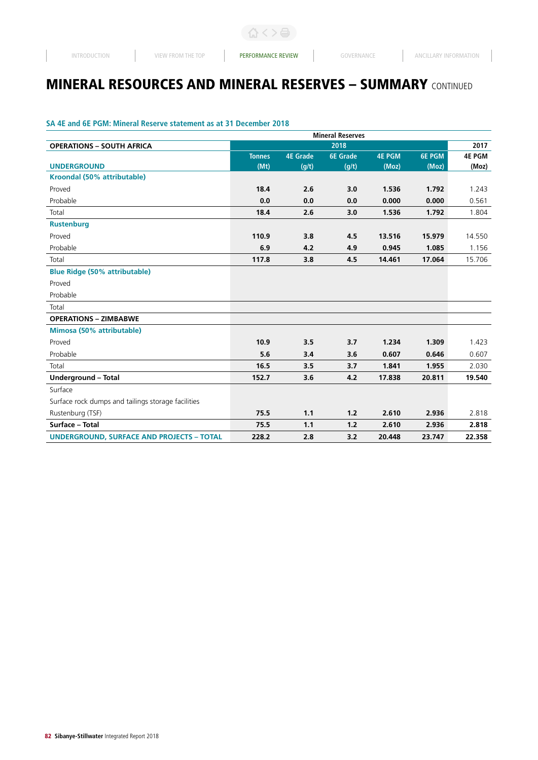## **SA 4E and 6E PGM: Mineral Reserve statement as at 31 December 2018**

|                                                    |               |                 | <b>Mineral Reserves</b> |               |               |               |
|----------------------------------------------------|---------------|-----------------|-------------------------|---------------|---------------|---------------|
| <b>OPERATIONS - SOUTH AFRICA</b>                   |               |                 | 2018                    |               |               | 2017          |
|                                                    | <b>Tonnes</b> | <b>4E Grade</b> | <b>6E</b> Grade         | <b>4E PGM</b> | <b>6E PGM</b> | <b>4E PGM</b> |
| <b>UNDERGROUND</b>                                 | (Mt)          | (g/t)           | (g/t)                   | (Moz)         | (Moz)         | (Moz)         |
| Kroondal (50% attributable)                        |               |                 |                         |               |               |               |
| Proved                                             | 18.4          | 2.6             | 3.0                     | 1.536         | 1.792         | 1.243         |
| Probable                                           | 0.0           | 0.0             | 0.0                     | 0.000         | 0.000         | 0.561         |
| Total                                              | 18.4          | 2.6             | 3.0                     | 1.536         | 1.792         | 1.804         |
| <b>Rustenburg</b>                                  |               |                 |                         |               |               |               |
| Proved                                             | 110.9         | 3.8             | 4.5                     | 13.516        | 15.979        | 14.550        |
| Probable                                           | 6.9           | 4.2             | 4.9                     | 0.945         | 1.085         | 1.156         |
| Total                                              | 117.8         | 3.8             | 4.5                     | 14.461        | 17.064        | 15.706        |
| <b>Blue Ridge (50% attributable)</b>               |               |                 |                         |               |               |               |
| Proved                                             |               |                 |                         |               |               |               |
| Probable                                           |               |                 |                         |               |               |               |
| Total                                              |               |                 |                         |               |               |               |
| <b>OPERATIONS - ZIMBABWE</b>                       |               |                 |                         |               |               |               |
| Mimosa (50% attributable)                          |               |                 |                         |               |               |               |
| Proved                                             | 10.9          | 3.5             | 3.7                     | 1.234         | 1.309         | 1.423         |
| Probable                                           | 5.6           | 3.4             | 3.6                     | 0.607         | 0.646         | 0.607         |
| Total                                              | 16.5          | 3.5             | 3.7                     | 1.841         | 1.955         | 2.030         |
| Underground - Total                                | 152.7         | 3.6             | 4.2                     | 17.838        | 20.811        | 19.540        |
| Surface                                            |               |                 |                         |               |               |               |
| Surface rock dumps and tailings storage facilities |               |                 |                         |               |               |               |
| Rustenburg (TSF)                                   | 75.5          | 1.1             | 1.2                     | 2.610         | 2.936         | 2.818         |
| Surface - Total                                    | 75.5          | 1.1             | 1.2                     | 2.610         | 2.936         | 2.818         |
| <b>UNDERGROUND, SURFACE AND PROJECTS - TOTAL</b>   | 228.2         | 2.8             | 3.2                     | 20.448        | 23.747        | 22.358        |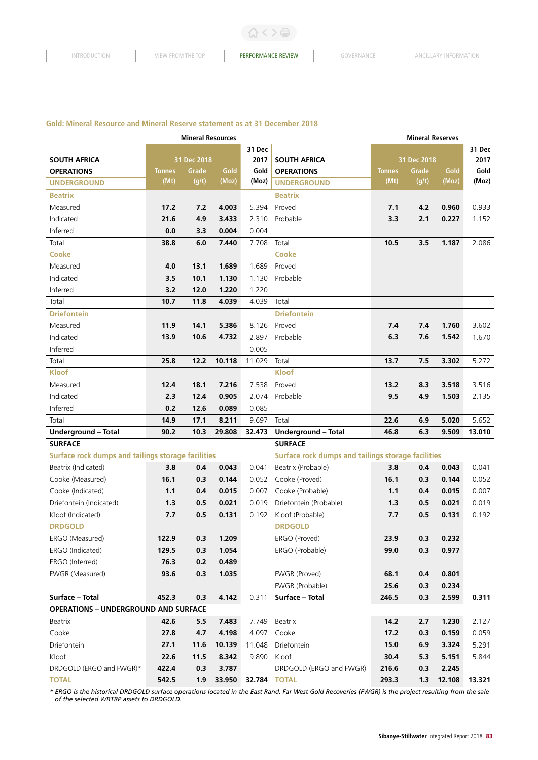#### **Gold: Mineral Resource and Mineral Reserve statement as at 31 December 2018**

|                                                    |               | <b>Mineral Resources</b> |        |        |                                                    | <b>Mineral Reserves</b> |             |        |        |
|----------------------------------------------------|---------------|--------------------------|--------|--------|----------------------------------------------------|-------------------------|-------------|--------|--------|
|                                                    |               |                          |        | 31 Dec |                                                    |                         |             |        | 31 Dec |
| <b>SOUTH AFRICA</b>                                |               | 31 Dec 2018              |        | 2017   | <b>SOUTH AFRICA</b>                                |                         | 31 Dec 2018 |        | 2017   |
| <b>OPERATIONS</b>                                  | <b>Tonnes</b> | Grade                    | Gold   | Gold   | <b>OPERATIONS</b>                                  | <b>Tonnes</b>           | Grade       | Gold   | Gold   |
| <b>UNDERGROUND</b>                                 | (Mt)          | (g/t)                    | (Moz)  | (Moz)  | <b>UNDERGROUND</b>                                 | (Mt)                    | (g/t)       | (Moz)  | (Moz)  |
| <b>Beatrix</b>                                     |               |                          |        |        | <b>Beatrix</b>                                     |                         |             |        |        |
| Measured                                           | 17.2          | 7.2                      | 4.003  | 5.394  | Proved                                             | 7.1                     | 4.2         | 0.960  | 0.933  |
| Indicated                                          | 21.6          | 4.9                      | 3.433  | 2.310  | Probable                                           | 3.3                     | 2.1         | 0.227  | 1.152  |
| Inferred                                           | 0.0           | 3.3                      | 0.004  | 0.004  |                                                    |                         |             |        |        |
| Total                                              | 38.8          | 6.0                      | 7.440  | 7.708  | Total                                              | 10.5                    | 3.5         | 1.187  | 2.086  |
| <b>Cooke</b>                                       |               |                          |        |        | <b>Cooke</b>                                       |                         |             |        |        |
| Measured                                           | 4.0           | 13.1                     | 1.689  | 1.689  | Proved                                             |                         |             |        |        |
| Indicated                                          | 3.5           | 10.1                     | 1.130  | 1.130  | Probable                                           |                         |             |        |        |
| Inferred                                           | 3.2           | 12.0                     | 1.220  | 1.220  |                                                    |                         |             |        |        |
| Total                                              | 10.7          | 11.8                     | 4.039  | 4.039  | Total                                              |                         |             |        |        |
| <b>Driefontein</b>                                 |               |                          |        |        | <b>Driefontein</b>                                 |                         |             |        |        |
| Measured                                           | 11.9          | 14.1                     | 5.386  | 8.126  | Proved                                             | 7.4                     | 7.4         | 1.760  | 3.602  |
| Indicated                                          | 13.9          | 10.6                     | 4.732  | 2.897  | Probable                                           | 6.3                     | 7.6         | 1.542  | 1.670  |
| Inferred                                           |               |                          |        | 0.005  |                                                    |                         |             |        |        |
| Total                                              | 25.8          | 12.2                     | 10.118 | 11.029 | Total                                              | 13.7                    | 7.5         | 3.302  | 5.272  |
| <b>Kloof</b>                                       |               |                          |        |        | <b>Kloof</b>                                       |                         |             |        |        |
| Measured                                           | 12.4          | 18.1                     | 7.216  | 7.538  | Proved                                             | 13.2                    | 8.3         | 3.518  | 3.516  |
| Indicated                                          | 2.3           | 12.4                     | 0.905  | 2.074  | Probable                                           | 9.5                     | 4.9         | 1.503  | 2.135  |
| Inferred                                           | 0.2           | 12.6                     | 0.089  | 0.085  |                                                    |                         |             |        |        |
| Total                                              | 14.9          | 17.1                     | 8.211  | 9.697  | Total                                              | 22.6                    | 6.9         | 5.020  | 5.652  |
| <b>Underground - Total</b>                         | 90.2          | 10.3                     | 29.808 | 32.473 | Underground - Total                                | 46.8                    | 6.3         | 9.509  | 13.010 |
| <b>SURFACE</b>                                     |               |                          |        |        | <b>SURFACE</b>                                     |                         |             |        |        |
| Surface rock dumps and tailings storage facilities |               |                          |        |        | Surface rock dumps and tailings storage facilities |                         |             |        |        |
| Beatrix (Indicated)                                | 3.8           | 0.4                      | 0.043  | 0.041  | Beatrix (Probable)                                 | 3.8                     | 0.4         | 0.043  | 0.041  |
| Cooke (Measured)                                   | 16.1          | 0.3                      | 0.144  | 0.052  | Cooke (Proved)                                     | 16.1                    | 0.3         | 0.144  | 0.052  |
| Cooke (Indicated)                                  | 1.1           | 0.4                      | 0.015  | 0.007  | Cooke (Probable)                                   | 1.1                     | 0.4         | 0.015  | 0.007  |
| Driefontein (Indicated)                            | 1.3           | 0.5                      | 0.021  | 0.019  | Driefontein (Probable)                             | 1.3                     | 0.5         | 0.021  | 0.019  |
| Kloof (Indicated)                                  | 7.7           | 0.5                      | 0.131  | 0.192  | Kloof (Probable)                                   | 7.7                     | 0.5         | 0.131  | 0.192  |
| <b>DRDGOLD</b>                                     |               |                          |        |        | <b>DRDGOLD</b>                                     |                         |             |        |        |
| ERGO (Measured)                                    | 122.9         | 0.3                      | 1.209  |        | ERGO (Proved)                                      | 23.9                    | 0.3         | 0.232  |        |
| ERGO (Indicated)                                   | 129.5         | 0.3                      | 1.054  |        | ERGO (Probable)                                    | 99.0                    | 0.3         | 0.977  |        |
| ERGO (Inferred)                                    | 76.3          | 0.2                      | 0.489  |        |                                                    |                         |             |        |        |
| FWGR (Measured)                                    | 93.6          | 0.3                      | 1.035  |        | FWGR (Proved)                                      | 68.1                    | 0.4         | 0.801  |        |
|                                                    |               |                          |        |        | FWGR (Probable)                                    | 25.6                    | 0.3         | 0.234  |        |
| Surface - Total                                    | 452.3         | 0.3                      | 4.142  | 0.311  | Surface - Total                                    | 246.5                   | 0.3         | 2.599  | 0.311  |
| <b>OPERATIONS - UNDERGROUND AND SURFACE</b>        |               |                          |        |        |                                                    |                         |             |        |        |
| Beatrix                                            | 42.6          | 5.5                      | 7.483  | 7.749  | Beatrix                                            | 14.2                    | 2.7         | 1.230  | 2.127  |
| Cooke                                              | 27.8          | 4.7                      | 4.198  | 4.097  | Cooke                                              | 17.2                    | 0.3         | 0.159  | 0.059  |
| Driefontein                                        | 27.1          | 11.6                     | 10.139 | 11.048 | Driefontein                                        | 15.0                    | 6.9         | 3.324  | 5.291  |
| Kloof                                              | 22.6          | 11.5                     | 8.342  | 9.890  | Kloof                                              | 30.4                    | 5.3         | 5.151  | 5.844  |
| DRDGOLD (ERGO and FWGR)*                           | 422.4         | 0.3                      | 3.787  |        | DRDGOLD (ERGO and FWGR)                            | 216.6                   | 0.3         | 2.245  |        |
| <b>TOTAL</b>                                       | 542.5         | 1.9                      | 33.950 | 32.784 | <b>TOTAL</b>                                       | 293.3                   | 1.3         | 12.108 | 13.321 |

*\* ERGO is the historical DRDGOLD surface operations located in the East Rand. Far West Gold Recoveries (FWGR) is the project resulting from the sale of the selected WRTRP assets to DRDGOLD.*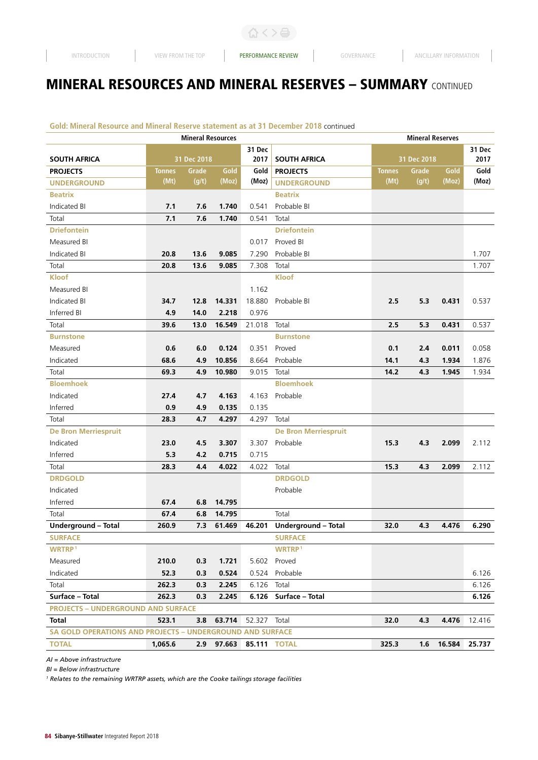## **Gold: Mineral Resource and Mineral Reserve statement as at 31 December 2018** continued

| 31 Dec<br>31 Dec<br><b>SOUTH AFRICA</b><br>31 Dec 2018<br>2017<br><b>SOUTH AFRICA</b><br>31 Dec 2018<br>2017<br><b>PROJECTS</b><br>Grade<br>Gold<br>Gold<br><b>PROJECTS</b><br>Grade<br>Gold<br>Gold<br><b>Tonnes</b><br><b>Tonnes</b><br>(Mt)<br>$\overline{(g/t)}$<br>(Moz)<br>(Mt)<br>$\overline{(g/t)}$<br>(Moz)<br>(Moz)<br>(Moz)<br><b>UNDERGROUND</b><br><b>UNDERGROUND</b><br><b>Beatrix</b><br><b>Beatrix</b><br>Indicated BI<br>Probable BI<br>7.1<br>7.6<br>1.740<br>0.541<br>Total<br>7.1<br>7.6<br>Total<br>1.740<br>0.541<br><b>Driefontein</b><br><b>Driefontein</b><br>Measured BI<br>0.017<br>Proved BI<br>Indicated BI<br>9.085<br>Probable BI<br>1.707<br>20.8<br>13.6<br>7.290<br>Total<br>20.8<br>13.6<br>9.085<br>7.308<br>Total<br>1.707<br><b>Kloof</b><br><b>Kloof</b><br>Measured BI<br>1.162<br>Indicated BI<br>34.7<br>14.331<br>18.880<br>Probable BI<br>2.5<br>5.3<br>0.431<br>0.537<br>12.8<br>Inferred BI<br>14.0<br>2.218<br>0.976<br>4.9<br>Total<br>39.6<br>13.0<br>16.549<br>21.018<br>Total<br>2.5<br>5.3<br>0.431<br>0.537<br><b>Burnstone</b><br><b>Burnstone</b><br>0.6<br>6.0<br>0.124<br>0.1<br>2.4<br>0.011<br>Measured<br>0.351<br>Proved<br>0.058<br>Indicated<br>68.6<br>4.9<br>10.856<br>8.664<br>Probable<br>14.1<br>4.3<br>1.934<br>1.876<br>Total<br>69.3<br>4.9<br>14.2<br>10.980<br>9.015<br>Total<br>4.3<br>1.945<br>1.934<br><b>Bloemhoek</b><br><b>Bloemhoek</b><br>Indicated<br>Probable<br>27.4<br>4.7<br>4.163<br>4.163<br>Inferred<br>0.9<br>4.9<br>0.135<br>0.135<br>Total<br>4.7<br>4.297<br>Total<br>28.3<br>4.297<br><b>De Bron Merriespruit</b><br><b>De Bron Merriespruit</b><br>Indicated<br>23.0<br>4.5<br>3.307<br>3.307<br>Probable<br>15.3<br>2.099<br>2.112<br>4.3<br>Inferred<br>4.2<br>0.715<br>0.715<br>5.3<br>Total<br>28.3<br>4.4<br>4.022<br>4.022<br>Total<br>15.3<br>4.3<br>2.099<br>2.112 |
|---------------------------------------------------------------------------------------------------------------------------------------------------------------------------------------------------------------------------------------------------------------------------------------------------------------------------------------------------------------------------------------------------------------------------------------------------------------------------------------------------------------------------------------------------------------------------------------------------------------------------------------------------------------------------------------------------------------------------------------------------------------------------------------------------------------------------------------------------------------------------------------------------------------------------------------------------------------------------------------------------------------------------------------------------------------------------------------------------------------------------------------------------------------------------------------------------------------------------------------------------------------------------------------------------------------------------------------------------------------------------------------------------------------------------------------------------------------------------------------------------------------------------------------------------------------------------------------------------------------------------------------------------------------------------------------------------------------------------------------------------------------------------------------------------------------------------------------------------------------------------|
|                                                                                                                                                                                                                                                                                                                                                                                                                                                                                                                                                                                                                                                                                                                                                                                                                                                                                                                                                                                                                                                                                                                                                                                                                                                                                                                                                                                                                                                                                                                                                                                                                                                                                                                                                                                                                                                                           |
|                                                                                                                                                                                                                                                                                                                                                                                                                                                                                                                                                                                                                                                                                                                                                                                                                                                                                                                                                                                                                                                                                                                                                                                                                                                                                                                                                                                                                                                                                                                                                                                                                                                                                                                                                                                                                                                                           |
|                                                                                                                                                                                                                                                                                                                                                                                                                                                                                                                                                                                                                                                                                                                                                                                                                                                                                                                                                                                                                                                                                                                                                                                                                                                                                                                                                                                                                                                                                                                                                                                                                                                                                                                                                                                                                                                                           |
|                                                                                                                                                                                                                                                                                                                                                                                                                                                                                                                                                                                                                                                                                                                                                                                                                                                                                                                                                                                                                                                                                                                                                                                                                                                                                                                                                                                                                                                                                                                                                                                                                                                                                                                                                                                                                                                                           |
|                                                                                                                                                                                                                                                                                                                                                                                                                                                                                                                                                                                                                                                                                                                                                                                                                                                                                                                                                                                                                                                                                                                                                                                                                                                                                                                                                                                                                                                                                                                                                                                                                                                                                                                                                                                                                                                                           |
|                                                                                                                                                                                                                                                                                                                                                                                                                                                                                                                                                                                                                                                                                                                                                                                                                                                                                                                                                                                                                                                                                                                                                                                                                                                                                                                                                                                                                                                                                                                                                                                                                                                                                                                                                                                                                                                                           |
|                                                                                                                                                                                                                                                                                                                                                                                                                                                                                                                                                                                                                                                                                                                                                                                                                                                                                                                                                                                                                                                                                                                                                                                                                                                                                                                                                                                                                                                                                                                                                                                                                                                                                                                                                                                                                                                                           |
|                                                                                                                                                                                                                                                                                                                                                                                                                                                                                                                                                                                                                                                                                                                                                                                                                                                                                                                                                                                                                                                                                                                                                                                                                                                                                                                                                                                                                                                                                                                                                                                                                                                                                                                                                                                                                                                                           |
|                                                                                                                                                                                                                                                                                                                                                                                                                                                                                                                                                                                                                                                                                                                                                                                                                                                                                                                                                                                                                                                                                                                                                                                                                                                                                                                                                                                                                                                                                                                                                                                                                                                                                                                                                                                                                                                                           |
|                                                                                                                                                                                                                                                                                                                                                                                                                                                                                                                                                                                                                                                                                                                                                                                                                                                                                                                                                                                                                                                                                                                                                                                                                                                                                                                                                                                                                                                                                                                                                                                                                                                                                                                                                                                                                                                                           |
|                                                                                                                                                                                                                                                                                                                                                                                                                                                                                                                                                                                                                                                                                                                                                                                                                                                                                                                                                                                                                                                                                                                                                                                                                                                                                                                                                                                                                                                                                                                                                                                                                                                                                                                                                                                                                                                                           |
|                                                                                                                                                                                                                                                                                                                                                                                                                                                                                                                                                                                                                                                                                                                                                                                                                                                                                                                                                                                                                                                                                                                                                                                                                                                                                                                                                                                                                                                                                                                                                                                                                                                                                                                                                                                                                                                                           |
|                                                                                                                                                                                                                                                                                                                                                                                                                                                                                                                                                                                                                                                                                                                                                                                                                                                                                                                                                                                                                                                                                                                                                                                                                                                                                                                                                                                                                                                                                                                                                                                                                                                                                                                                                                                                                                                                           |
|                                                                                                                                                                                                                                                                                                                                                                                                                                                                                                                                                                                                                                                                                                                                                                                                                                                                                                                                                                                                                                                                                                                                                                                                                                                                                                                                                                                                                                                                                                                                                                                                                                                                                                                                                                                                                                                                           |
|                                                                                                                                                                                                                                                                                                                                                                                                                                                                                                                                                                                                                                                                                                                                                                                                                                                                                                                                                                                                                                                                                                                                                                                                                                                                                                                                                                                                                                                                                                                                                                                                                                                                                                                                                                                                                                                                           |
|                                                                                                                                                                                                                                                                                                                                                                                                                                                                                                                                                                                                                                                                                                                                                                                                                                                                                                                                                                                                                                                                                                                                                                                                                                                                                                                                                                                                                                                                                                                                                                                                                                                                                                                                                                                                                                                                           |
|                                                                                                                                                                                                                                                                                                                                                                                                                                                                                                                                                                                                                                                                                                                                                                                                                                                                                                                                                                                                                                                                                                                                                                                                                                                                                                                                                                                                                                                                                                                                                                                                                                                                                                                                                                                                                                                                           |
|                                                                                                                                                                                                                                                                                                                                                                                                                                                                                                                                                                                                                                                                                                                                                                                                                                                                                                                                                                                                                                                                                                                                                                                                                                                                                                                                                                                                                                                                                                                                                                                                                                                                                                                                                                                                                                                                           |
|                                                                                                                                                                                                                                                                                                                                                                                                                                                                                                                                                                                                                                                                                                                                                                                                                                                                                                                                                                                                                                                                                                                                                                                                                                                                                                                                                                                                                                                                                                                                                                                                                                                                                                                                                                                                                                                                           |
|                                                                                                                                                                                                                                                                                                                                                                                                                                                                                                                                                                                                                                                                                                                                                                                                                                                                                                                                                                                                                                                                                                                                                                                                                                                                                                                                                                                                                                                                                                                                                                                                                                                                                                                                                                                                                                                                           |
|                                                                                                                                                                                                                                                                                                                                                                                                                                                                                                                                                                                                                                                                                                                                                                                                                                                                                                                                                                                                                                                                                                                                                                                                                                                                                                                                                                                                                                                                                                                                                                                                                                                                                                                                                                                                                                                                           |
|                                                                                                                                                                                                                                                                                                                                                                                                                                                                                                                                                                                                                                                                                                                                                                                                                                                                                                                                                                                                                                                                                                                                                                                                                                                                                                                                                                                                                                                                                                                                                                                                                                                                                                                                                                                                                                                                           |
|                                                                                                                                                                                                                                                                                                                                                                                                                                                                                                                                                                                                                                                                                                                                                                                                                                                                                                                                                                                                                                                                                                                                                                                                                                                                                                                                                                                                                                                                                                                                                                                                                                                                                                                                                                                                                                                                           |
|                                                                                                                                                                                                                                                                                                                                                                                                                                                                                                                                                                                                                                                                                                                                                                                                                                                                                                                                                                                                                                                                                                                                                                                                                                                                                                                                                                                                                                                                                                                                                                                                                                                                                                                                                                                                                                                                           |
|                                                                                                                                                                                                                                                                                                                                                                                                                                                                                                                                                                                                                                                                                                                                                                                                                                                                                                                                                                                                                                                                                                                                                                                                                                                                                                                                                                                                                                                                                                                                                                                                                                                                                                                                                                                                                                                                           |
|                                                                                                                                                                                                                                                                                                                                                                                                                                                                                                                                                                                                                                                                                                                                                                                                                                                                                                                                                                                                                                                                                                                                                                                                                                                                                                                                                                                                                                                                                                                                                                                                                                                                                                                                                                                                                                                                           |
|                                                                                                                                                                                                                                                                                                                                                                                                                                                                                                                                                                                                                                                                                                                                                                                                                                                                                                                                                                                                                                                                                                                                                                                                                                                                                                                                                                                                                                                                                                                                                                                                                                                                                                                                                                                                                                                                           |
|                                                                                                                                                                                                                                                                                                                                                                                                                                                                                                                                                                                                                                                                                                                                                                                                                                                                                                                                                                                                                                                                                                                                                                                                                                                                                                                                                                                                                                                                                                                                                                                                                                                                                                                                                                                                                                                                           |
| <b>DRDGOLD</b><br><b>DRDGOLD</b>                                                                                                                                                                                                                                                                                                                                                                                                                                                                                                                                                                                                                                                                                                                                                                                                                                                                                                                                                                                                                                                                                                                                                                                                                                                                                                                                                                                                                                                                                                                                                                                                                                                                                                                                                                                                                                          |
| Indicated<br>Probable                                                                                                                                                                                                                                                                                                                                                                                                                                                                                                                                                                                                                                                                                                                                                                                                                                                                                                                                                                                                                                                                                                                                                                                                                                                                                                                                                                                                                                                                                                                                                                                                                                                                                                                                                                                                                                                     |
| Inferred<br>67.4<br>14.795<br>6.8                                                                                                                                                                                                                                                                                                                                                                                                                                                                                                                                                                                                                                                                                                                                                                                                                                                                                                                                                                                                                                                                                                                                                                                                                                                                                                                                                                                                                                                                                                                                                                                                                                                                                                                                                                                                                                         |
| Total<br>67.4<br>14.795<br>Total<br>6.8                                                                                                                                                                                                                                                                                                                                                                                                                                                                                                                                                                                                                                                                                                                                                                                                                                                                                                                                                                                                                                                                                                                                                                                                                                                                                                                                                                                                                                                                                                                                                                                                                                                                                                                                                                                                                                   |
| <b>Underground - Total</b><br>260.9<br>61.469<br>Underground - Total<br>4.476<br>6.290<br>7.3<br>46.201<br>32.0<br>4.3                                                                                                                                                                                                                                                                                                                                                                                                                                                                                                                                                                                                                                                                                                                                                                                                                                                                                                                                                                                                                                                                                                                                                                                                                                                                                                                                                                                                                                                                                                                                                                                                                                                                                                                                                    |
| <b>SURFACE</b><br><b>SURFACE</b>                                                                                                                                                                                                                                                                                                                                                                                                                                                                                                                                                                                                                                                                                                                                                                                                                                                                                                                                                                                                                                                                                                                                                                                                                                                                                                                                                                                                                                                                                                                                                                                                                                                                                                                                                                                                                                          |
| <b>WRTRP1</b><br>WRTRP <sup>1</sup>                                                                                                                                                                                                                                                                                                                                                                                                                                                                                                                                                                                                                                                                                                                                                                                                                                                                                                                                                                                                                                                                                                                                                                                                                                                                                                                                                                                                                                                                                                                                                                                                                                                                                                                                                                                                                                       |
| 210.0<br>0.3<br>1.721<br>5.602 Proved<br>Measured                                                                                                                                                                                                                                                                                                                                                                                                                                                                                                                                                                                                                                                                                                                                                                                                                                                                                                                                                                                                                                                                                                                                                                                                                                                                                                                                                                                                                                                                                                                                                                                                                                                                                                                                                                                                                         |
| Indicated<br>52.3<br>0.524<br>0.524 Probable<br>6.126<br>0.3                                                                                                                                                                                                                                                                                                                                                                                                                                                                                                                                                                                                                                                                                                                                                                                                                                                                                                                                                                                                                                                                                                                                                                                                                                                                                                                                                                                                                                                                                                                                                                                                                                                                                                                                                                                                              |
| Total<br>262.3<br>6.126 Total<br>6.126<br>0.3<br>2.245                                                                                                                                                                                                                                                                                                                                                                                                                                                                                                                                                                                                                                                                                                                                                                                                                                                                                                                                                                                                                                                                                                                                                                                                                                                                                                                                                                                                                                                                                                                                                                                                                                                                                                                                                                                                                    |
| Surface - Total<br>262.3<br>0.3<br>2.245<br>6.126 Surface - Total<br>6.126                                                                                                                                                                                                                                                                                                                                                                                                                                                                                                                                                                                                                                                                                                                                                                                                                                                                                                                                                                                                                                                                                                                                                                                                                                                                                                                                                                                                                                                                                                                                                                                                                                                                                                                                                                                                |
| <b>PROJECTS - UNDERGROUND AND SURFACE</b>                                                                                                                                                                                                                                                                                                                                                                                                                                                                                                                                                                                                                                                                                                                                                                                                                                                                                                                                                                                                                                                                                                                                                                                                                                                                                                                                                                                                                                                                                                                                                                                                                                                                                                                                                                                                                                 |
| Total<br>523.1<br>3.8 63.714 52.327 Total<br>32.0<br>4.3<br>4.476<br>12.416                                                                                                                                                                                                                                                                                                                                                                                                                                                                                                                                                                                                                                                                                                                                                                                                                                                                                                                                                                                                                                                                                                                                                                                                                                                                                                                                                                                                                                                                                                                                                                                                                                                                                                                                                                                               |
| SA GOLD OPERATIONS AND PROJECTS - UNDERGROUND AND SURFACE                                                                                                                                                                                                                                                                                                                                                                                                                                                                                                                                                                                                                                                                                                                                                                                                                                                                                                                                                                                                                                                                                                                                                                                                                                                                                                                                                                                                                                                                                                                                                                                                                                                                                                                                                                                                                 |
| <b>TOTAL</b><br>25.737<br>1,065.6<br>2.9 97.663 85.111 TOTAL<br>325.3<br>1.6<br>16.584                                                                                                                                                                                                                                                                                                                                                                                                                                                                                                                                                                                                                                                                                                                                                                                                                                                                                                                                                                                                                                                                                                                                                                                                                                                                                                                                                                                                                                                                                                                                                                                                                                                                                                                                                                                    |

*AI = Above infrastructure*

*BI = Below infrastructure*

<sup>1</sup> Relates to the remaining WRTRP assets, which are the Cooke tailings storage facilities